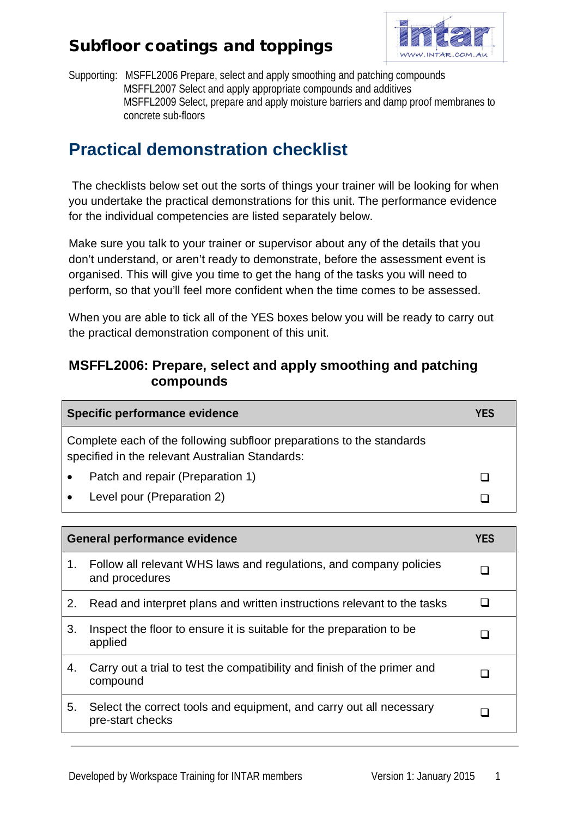

Supporting: MSFFL2006 Prepare, select and apply smoothing and patching compounds MSFFL2007 Select and apply appropriate compounds and additives MSFFL2009 Select, prepare and apply moisture barriers and damp proof membranes to concrete sub-floors

# **Practical demonstration checklist**

The checklists below set out the sorts of things your trainer will be looking for when you undertake the practical demonstrations for this unit. The performance evidence for the individual competencies are listed separately below.

Make sure you talk to your trainer or supervisor about any of the details that you don't understand, or aren't ready to demonstrate, before the assessment event is organised. This will give you time to get the hang of the tasks you will need to perform, so that you'll feel more confident when the time comes to be assessed.

When you are able to tick all of the YES boxes below you will be ready to carry out the practical demonstration component of this unit.

#### **MSFFL2006: Prepare, select and apply smoothing and patching compounds**

| Specific performance evidence                                                                                            | YFS |
|--------------------------------------------------------------------------------------------------------------------------|-----|
| Complete each of the following subfloor preparations to the standards<br>specified in the relevant Australian Standards: |     |
| Patch and repair (Preparation 1)                                                                                         |     |
| Level pour (Preparation 2)                                                                                               |     |

| <b>General performance evidence</b> |                                                                                         | <b>YES</b> |
|-------------------------------------|-----------------------------------------------------------------------------------------|------------|
| 1.                                  | Follow all relevant WHS laws and regulations, and company policies<br>and procedures    |            |
| 2.                                  | Read and interpret plans and written instructions relevant to the tasks                 |            |
| 3.                                  | Inspect the floor to ensure it is suitable for the preparation to be<br>applied         |            |
| 4.                                  | Carry out a trial to test the compatibility and finish of the primer and<br>compound    |            |
| 5.                                  | Select the correct tools and equipment, and carry out all necessary<br>pre-start checks |            |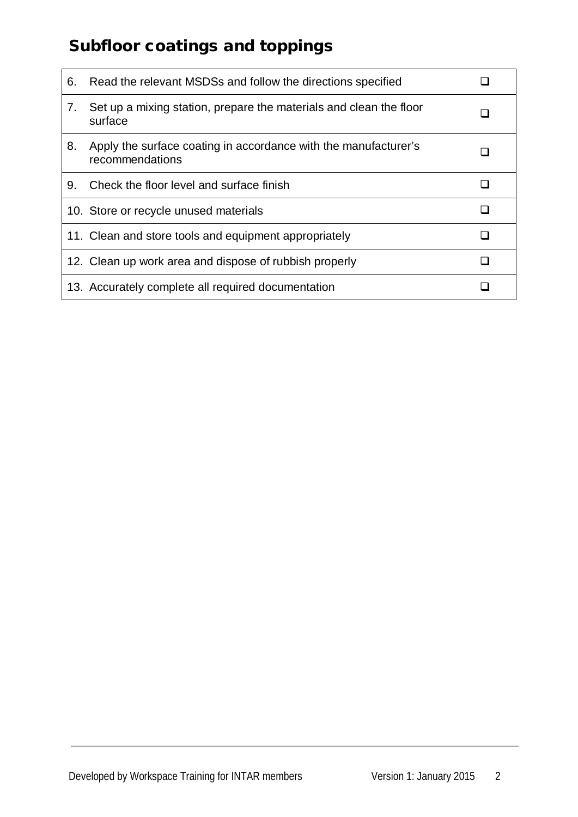| 6. | Read the relevant MSDSs and follow the directions specified                        |  |
|----|------------------------------------------------------------------------------------|--|
| 7. | Set up a mixing station, prepare the materials and clean the floor<br>surface      |  |
| 8. | Apply the surface coating in accordance with the manufacturer's<br>recommendations |  |
| 9. | Check the floor level and surface finish                                           |  |
|    | 10. Store or recycle unused materials                                              |  |
|    | 11. Clean and store tools and equipment appropriately                              |  |
|    | 12. Clean up work area and dispose of rubbish properly                             |  |
|    | 13. Accurately complete all required documentation                                 |  |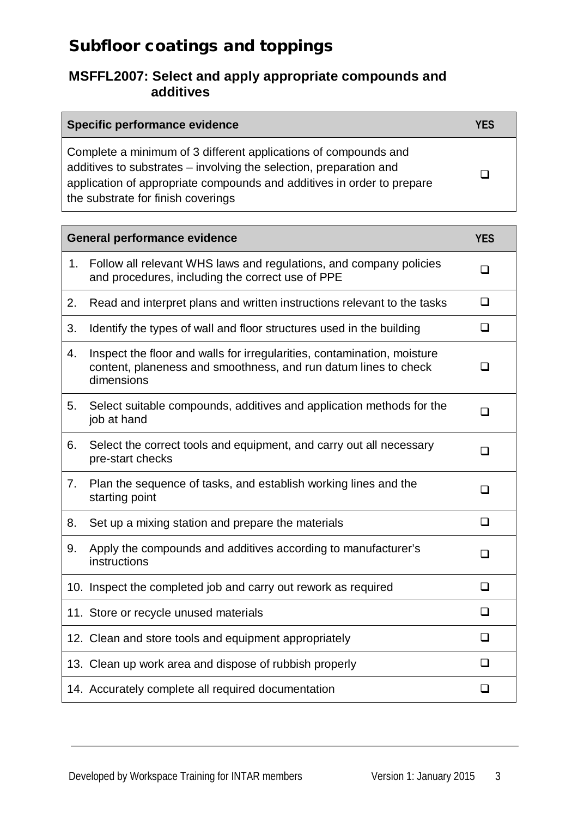#### **MSFFL2007: Select and apply appropriate compounds and additives**

| Specific performance evidence                                                                                                                                                                                                                         | <b>YFS</b> |
|-------------------------------------------------------------------------------------------------------------------------------------------------------------------------------------------------------------------------------------------------------|------------|
| Complete a minimum of 3 different applications of compounds and<br>additives to substrates - involving the selection, preparation and<br>application of appropriate compounds and additives in order to prepare<br>the substrate for finish coverings |            |

| <b>General performance evidence</b> |                                                                                                                                                          | <b>YES</b> |
|-------------------------------------|----------------------------------------------------------------------------------------------------------------------------------------------------------|------------|
| 1.                                  | Follow all relevant WHS laws and regulations, and company policies<br>and procedures, including the correct use of PPE                                   | $\Box$     |
| 2.                                  | Read and interpret plans and written instructions relevant to the tasks                                                                                  | $\Box$     |
| 3.                                  | Identify the types of wall and floor structures used in the building                                                                                     | $\Box$     |
| 4.                                  | Inspect the floor and walls for irregularities, contamination, moisture<br>content, planeness and smoothness, and run datum lines to check<br>dimensions | $\Box$     |
| 5.                                  | Select suitable compounds, additives and application methods for the<br>job at hand                                                                      | □          |
| 6.                                  | Select the correct tools and equipment, and carry out all necessary<br>pre-start checks                                                                  | П          |
| 7.                                  | Plan the sequence of tasks, and establish working lines and the<br>starting point                                                                        | □          |
| 8.                                  | Set up a mixing station and prepare the materials                                                                                                        | $\Box$     |
| 9.                                  | Apply the compounds and additives according to manufacturer's<br>instructions                                                                            | $\Box$     |
|                                     | 10. Inspect the completed job and carry out rework as required                                                                                           | ◻          |
|                                     | 11. Store or recycle unused materials                                                                                                                    | ◻          |
|                                     | 12. Clean and store tools and equipment appropriately                                                                                                    | ◻          |
|                                     | 13. Clean up work area and dispose of rubbish properly                                                                                                   | ❏          |
|                                     | 14. Accurately complete all required documentation                                                                                                       | ❏          |